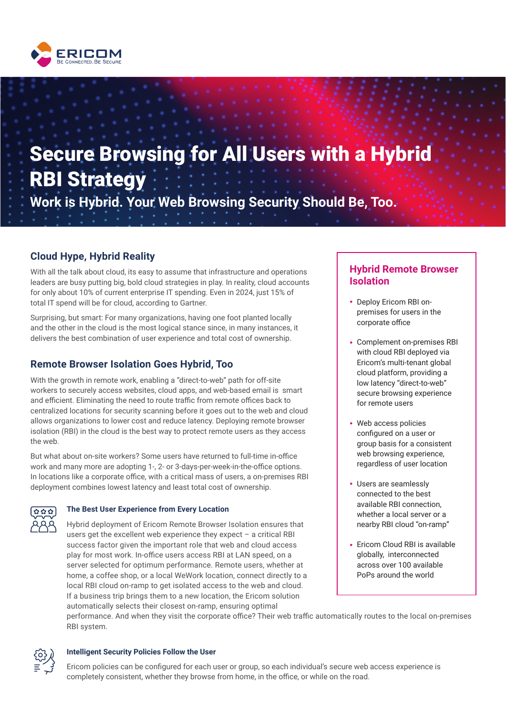

# Secure Browsing for All Users with a Hybrid RBI Strategy **Work is Hybrid. Your Web Browsing Security Should Be, Too.**

# **Cloud Hype, Hybrid Reality**

With all the talk about cloud, its easy to assume that infrastructure and operations leaders are busy putting big, bold cloud strategies in play. In reality, cloud accounts for only about 10% of current enterprise IT spending. Even in 2024, just 15% of total IT spend will be for cloud, according to Gartner.

Surprising, but smart: For many organizations, having one foot planted locally and the other in the cloud is the most logical stance since, in many instances, it delivers the best combination of user experience and total cost of ownership.

# **Remote Browser Isolation Goes Hybrid, Too**

With the growth in remote work, enabling a "direct-to-web" path for off-site workers to securely access websites, cloud apps, and web-based email is smart and efficient. Eliminating the need to route traffic from remote offices back to centralized locations for security scanning before it goes out to the web and cloud allows organizations to lower cost and reduce latency. Deploying remote browser isolation (RBI) in the cloud is the best way to protect remote users as they access the web.

But what about on-site workers? Some users have returned to full-time in-office work and many more are adopting 1-, 2- or 3-days-per-week-in-the-office options. In locations like a corporate office, with a critical mass of users, a on-premises RBI deployment combines lowest latency and least total cost of ownership.



# **The Best User Experience from Every Location**

Hybrid deployment of Ericom Remote Browser Isolation ensures that users get the excellent web experience they expect – a critical RBI success factor given the important role that web and cloud access play for most work. In-office users access RBI at LAN speed, on a server selected for optimum performance. Remote users, whether at home, a coffee shop, or a local WeWork location, connect directly to a local RBI cloud on-ramp to get isolated access to the web and cloud. If a business trip brings them to a new location, the Ericom solution automatically selects their closest on-ramp, ensuring optimal

# **Hybrid Remote Browser Isolation**

- Deploy Ericom RBI onpremises for users in the corporate office
- Complement on-premises RBI with cloud RBI deployed via Ericom's multi-tenant global cloud platform, providing a low latency "direct-to-web" secure browsing experience for remote users
- Web access policies configured on a user or group basis for a consistent web browsing experience, regardless of user location
- Users are seamlessly connected to the best available RBI connection, whether a local server or a nearby RBI cloud "on-ramp"
- Ericom Cloud RBI is available globally, interconnected across over 100 available PoPs around the world

performance. And when they visit the corporate office? Their web traffic automatically routes to the local on-premises RBI system.



# **Intelligent Security Policies Follow the User**

Ericom policies can be configured for each user or group, so each individual's secure web access experience is completely consistent, whether they browse from home, in the office, or while on the road.